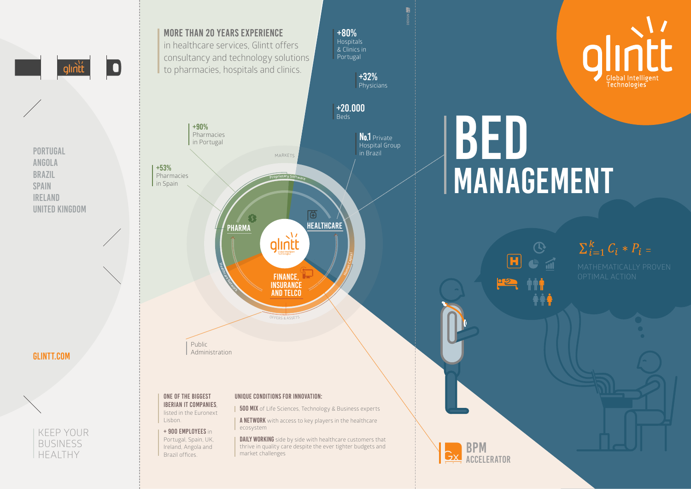# MANAGEMENT



## $\sum_{i=1}^{k} C_i * P_i =$